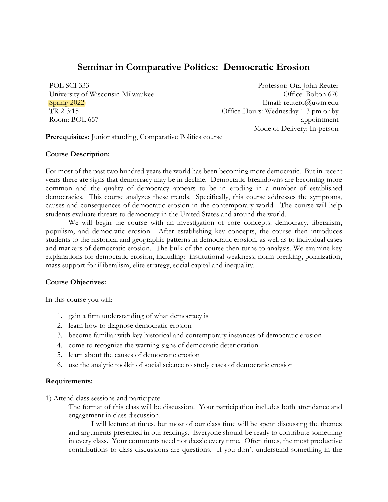# **Seminar in Comparative Politics: Democratic Erosion**

POL SCI 333 University of Wisconsin-Milwaukee Spring 2022 TR 2-3:15 Room: BOL 657

Professor: Ora John Reuter Office: Bolton 670 Email: reutero@uwm.edu Office Hours: Wednesday 1-3 pm or by appointment Mode of Delivery: In-person

**Prerequisites:** Junior standing, Comparative Politics course

# **Course Description:**

For most of the past two hundred years the world has been becoming more democratic. But in recent years there are signs that democracy may be in decline. Democratic breakdowns are becoming more common and the quality of democracy appears to be in eroding in a number of established democracies. This course analyzes these trends. Specifically, this course addresses the symptoms, causes and consequences of democratic erosion in the contemporary world. The course will help students evaluate threats to democracy in the United States and around the world.

We will begin the course with an investigation of core concepts: democracy, liberalism, populism, and democratic erosion. After establishing key concepts, the course then introduces students to the historical and geographic patterns in democratic erosion, as well as to individual cases and markers of democratic erosion. The bulk of the course then turns to analysis. We examine key explanations for democratic erosion, including: institutional weakness, norm breaking, polarization, mass support for illiberalism, elite strategy, social capital and inequality.

# **Course Objectives:**

In this course you will:

- 1. gain a firm understanding of what democracy is
- 2. learn how to diagnose democratic erosion
- 3. become familiar with key historical and contemporary instances of democratic erosion
- 4. come to recognize the warning signs of democratic deterioration
- 5. learn about the causes of democratic erosion
- 6. use the analytic toolkit of social science to study cases of democratic erosion

# **Requirements:**

- 1) Attend class sessions and participate
	- The format of this class will be discussion. Your participation includes both attendance and engagement in class discussion.

I will lecture at times, but most of our class time will be spent discussing the themes and arguments presented in our readings. Everyone should be ready to contribute something in every class. Your comments need not dazzle every time. Often times, the most productive contributions to class discussions are questions. If you don't understand something in the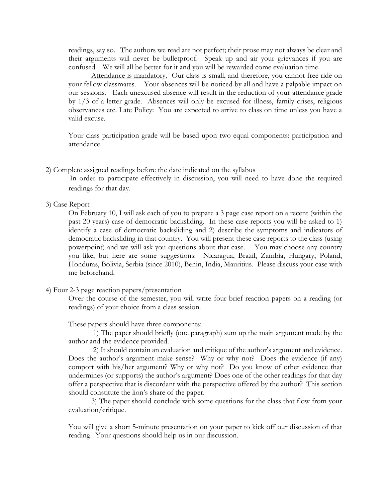readings, say so. The authors we read are not perfect; their prose may not always be clear and their arguments will never be bulletproof. Speak up and air your grievances if you are confused. We will all be better for it and you will be rewarded come evaluation time.

Attendance is mandatory. Our class is small, and therefore, you cannot free ride on your fellow classmates. Your absences will be noticed by all and have a palpable impact on our sessions. Each unexcused absence will result in the reduction of your attendance grade by 1/3 of a letter grade. Absences will only be excused for illness, family crises, religious observances etc. Late Policy: You are expected to arrive to class on time unless you have a valid excuse.

Your class participation grade will be based upon two equal components: participation and attendance.

### 2) Complete assigned readings before the date indicated on the syllabus

In order to participate effectively in discussion, you will need to have done the required readings for that day.

3) Case Report

On February 10, I will ask each of you to prepare a 3 page case report on a recent (within the past 20 years) case of democratic backsliding. In these case reports you will be asked to 1) identify a case of democratic backsliding and 2) describe the symptoms and indicators of democratic backsliding in that country. You will present these case reports to the class (using powerpoint) and we will ask you questions about that case. You may choose any country you like, but here are some suggestions: Nicaragua, Brazil, Zambia, Hungary, Poland, Honduras, Bolivia, Serbia (since 2010), Benin, India, Mauritius. Please discuss your case with me beforehand.

### 4) Four 2-3 page reaction papers/presentation

Over the course of the semester, you will write four brief reaction papers on a reading (or readings) of your choice from a class session.

These papers should have three components:

1) The paper should briefly (one paragraph) sum up the main argument made by the author and the evidence provided.

2) It should contain an evaluation and critique of the author's argument and evidence. Does the author's argument make sense? Why or why not? Does the evidence (if any) comport with his/her argument? Why or why not? Do you know of other evidence that undermines (or supports) the author's argument? Does one of the other readings for that day offer a perspective that is discordant with the perspective offered by the author? This section should constitute the lion's share of the paper.

3) The paper should conclude with some questions for the class that flow from your evaluation/critique.

You will give a short 5-minute presentation on your paper to kick off our discussion of that reading. Your questions should help us in our discussion.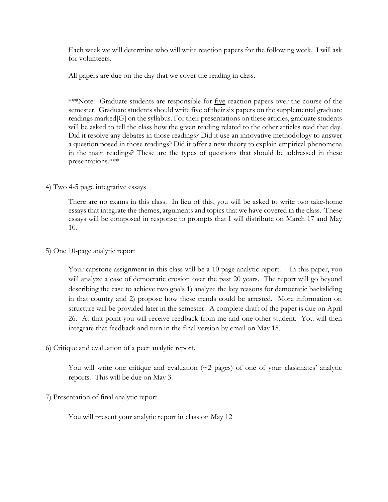Each week we will determine who will write reaction papers for the following week. I will ask for volunteers.

All papers are due on the day that we cover the reading in class.

\*\*\*Note: Graduate students are responsible for <u>five</u> reaction papers over the course of the semester. Graduate students should write five of their six papers on the supplemental graduate readings marked[G] on the syllabus. For their presentations on these articles, graduate students will be asked to tell the class how the given reading related to the other articles read that day. Did it resolve any debates in those readings? Did it use an innovative methodology to answer a question posed in those readings? Did it offer a new theory to explain empirical phenomena in the main readings? These are the types of questions that should be addressed in these presentations.\*\*\*

# 4) Two 4-5 page integrative essays

There are no exams in this class. In lieu of this, you will be asked to write two take-home essays that integrate the themes, arguments and topics that we have covered in the class. These essays will be composed in response to prompts that I will distribute on March 17 and May 10.

# 5) One 10-page analytic report

Your capstone assignment in this class will be a 10 page analytic report. In this paper, you will analyze a case of democratic erosion over the past 20 years. The report will go beyond describing the case to achieve two goals 1) analyze the key reasons for democratic backsliding in that country and 2) propose how these trends could be arrested. More information on structure will be provided later in the semester. A complete draft of the paper is due on April 26. At that point you will receive feedback from me and one other student. You will then integrate that feedback and turn in the final version by email on May 18.

# 6) Critique and evaluation of a peer analytic report.

You will write one critique and evaluation  $(\sim 2$  pages) of one of your classmates' analytic reports. This will be due on May 3.

# 7) Presentation of final analytic report.

You will present your analytic report in class on May 12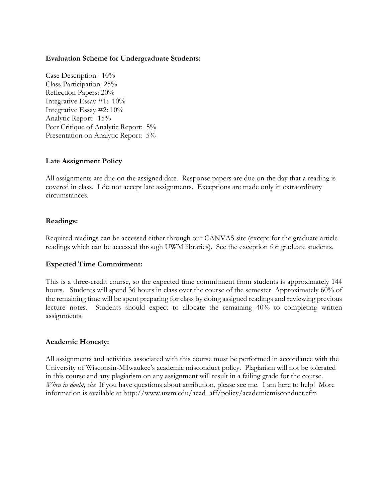# **Evaluation Scheme for Undergraduate Students:**

Case Description: 10% Class Participation: 25% Reflection Papers: 20% Integrative Essay #1: 10% Integrative Essay #2: 10% Analytic Report: 15% Peer Critique of Analytic Report:  $5\%$ Presentation on Analytic Report: 5%

# **Late Assignment Policy**

All assignments are due on the assigned date. Response papers are due on the day that a reading is covered in class. I do not accept late assignments. Exceptions are made only in extraordinary circumstances.

# **Readings:**

Required readings can be accessed either through our CANVAS site (except for the graduate article readings which can be accessed through UWM libraries). See the exception for graduate students.

### **Expected Time Commitment:**

This is a three-credit course, so the expected time commitment from students is approximately 144 hours. Students will spend 36 hours in class over the course of the semester Approximately 60% of the remaining time will be spent preparing for class by doing assigned readings and reviewing previous lecture notes. Students should expect to allocate the remaining 40% to completing written assignments.

### **Academic Honesty:**

All assignments and activities associated with this course must be performed in accordance with the University of Wisconsin-Milwaukee's academic misconduct policy. Plagiarism will not be tolerated in this course and any plagiarism on any assignment will result in a failing grade for the course. *When in doubt, cite.* If you have questions about attribution, please see me. I am here to help! More information is available at http://www.uwm.edu/acad\_aff/policy/academicmisconduct.cfm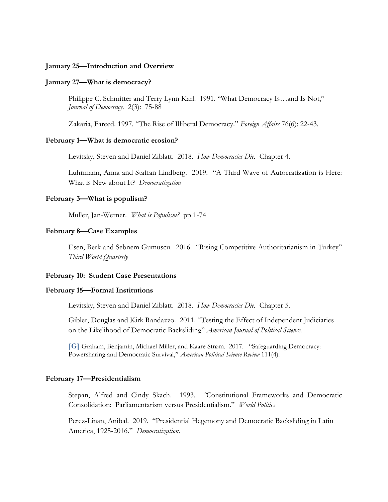### **January 25—Introduction and Overview**

#### **January 27—What is democracy?**

Philippe C. Schmitter and Terry Lynn Karl. 1991. "What Democracy Is…and Is Not," *Journal of Democracy*. 2(3): 75-88

Zakaria, Fareed. 1997. "The Rise of Illiberal Democracy." *Foreign Affairs* 76(6): 22-43.

#### **February 1—What is democratic erosion?**

Levitsky, Steven and Daniel Ziblatt. 2018. *How Democracies Die.* Chapter 4.

Luhrmann, Anna and Staffan Lindberg. 2019. "A Third Wave of Autocratization is Here: What is New about It? *Democratization*

### **February 3—What is populism?**

Muller, Jan-Werner. *What is Populism?* pp 1-74

### **February 8—Case Examples**

Esen, Berk and Sebnem Gumuscu. 2016. "Rising Competitive Authoritarianism in Turkey" *Third World Quarterly*

### **February 10: Student Case Presentations**

### **February 15—Formal Institutions**

Levitsky, Steven and Daniel Ziblatt. 2018. *How Democracies Die.* Chapter 5.

Gibler, Douglas and Kirk Randazzo. 2011. "Testing the Effect of Independent Judiciaries on the Likelihood of Democratic Backsliding" *American Journal of Political Science.* 

**[G]** Graham, Benjamin, Michael Miller, and Kaare Strøm. 2017. "Safeguarding Democracy: Powersharing and Democratic Survival," *American Political Science Review* 111(4).

#### **February 17—Presidentialism**

Stepan, Alfred and Cindy Skach. 1993. *"*Constitutional Frameworks and Democratic Consolidation: Parliamentarism versus Presidentialism." *World Politics*

Perez-Linan, Anibal. 2019. "Presidential Hegemony and Democratic Backsliding in Latin America, 1925-2016." *Democratization.*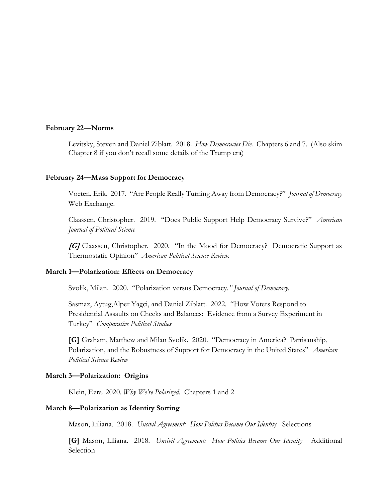#### **February 22—Norms**

Levitsky, Steven and Daniel Ziblatt. 2018. *How Democracies Die.* Chapters 6 and 7. (Also skim Chapter 8 if you don't recall some details of the Trump era)

#### **February 24—Mass Support for Democracy**

Voeten, Erik. 2017. "Are People Really Turning Away from Democracy?" *Journal of Democracy*  Web Exchange.

Claassen, Christopher. 2019. "Does Public Support Help Democracy Survive?" *American Journal of Political Science*

**[G]** Claassen, Christopher. 2020. "In the Mood for Democracy? Democratic Support as Thermostatic Opinion" *American Political Science Review.*

### **March 1—Polarization: Effects on Democracy**

Svolik, Milan. 2020. "Polarization versus Democracy*." Journal of Democracy.*

Sasmaz, Aytug,Alper Yagci, and Daniel Ziblatt. 2022. "How Voters Respond to Presidential Assaults on Checks and Balances: Evidence from a Survey Experiment in Turkey" *Comparative Political Studies*

**[G]** Graham, Matthew and Milan Svolik. 2020. "Democracy in America? Partisanship, Polarization, and the Robustness of Support for Democracy in the United States" *American Political Science Review*

### **March 3—Polarization: Origins**

Klein, Ezra. 2020. *Why We're Polarized*. Chapters 1 and 2

# **March 8—Polarization as Identity Sorting**

Mason, Liliana. 2018. *Uncivil Agreement: How Politics Became Our Identity* Selections

**[G]** Mason, Liliana. 2018. *Uncivil Agreement: How Politics Became Our Identity* Additional Selection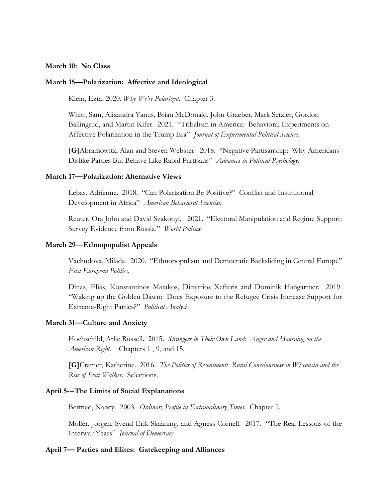# **March 10: No Class**

### **March 15—Polarization: Affective and Ideological**

Klein, Ezra. 2020. *Why We're Polarized*. Chapter 3.

Whitt, Sam, Alixandra Yanus, Brian McDonald, John Graeber, Mark Setzler, Gordon Ballingrud, and Martin Kifer. 2021. "Tribalism in America: Behavioral Experiments on Affective Polarization in the Trump Era" *Journal of Experimental Political Science.*

**[G]**Abramowitz, Alan and Steven Webster. 2018. "Negative Partisanship: Why Americans Dislike Parties But Behave Like Rabid Partisans" *Advances in Political Psychology.*

### **March 17—Polarization: Alternative Views**

Lebas, Adrienne. 2018. "Can Polarization Be Positive?" Conflict and Institutional Development in Africa" *American Behavioral Scientist.* 

Reuter, Ora John and David Szakonyi. 2021. "Electoral Manipulation and Regime Support: Survey Evidence from Russia." *World Politics.*

#### **March 29—Ethnopopulist Appeals**

Vachudova, Milada. 2020. "Ethnopopulism and Democratic Backsliding in Central Europe" *East European Politics.* 

Dinas, Elias, Konstantinos Matakos, Dimitrios Xefteris and Dominik Hangartner. 2019. "Waking up the Golden Dawn: Does Exposure to the Refugee Crisis Increase Support for Extreme-Right Parties?" *Political Analysis*

#### **March 31—Culture and Anxiety**

Hochschild, Arlie Russell. 2015. *Strangers in Their Own Land: Anger and Mourning on the American Right.* Chapters 1 , 9, and 15.

**[G]**Cramer, Katherine. 2016. *The Politics of Resentment: Rural Consciousness in Wisconsin and the Rise of Scott Walker.* Selections.

#### **April 5---The Limits of Social Explanations**

Bermeo, Nancy. 2003. *Ordinary People in Extraordinary Times.* Chapter 2.

Moller, Jorgen, Svend-Erik Skaaning, and Agness Cornell. 2017. "The Real Lessons of the Interwar Years" *Journal of Democracy*

# **April 7— Parties and Elites: Gatekeeping and Alliances**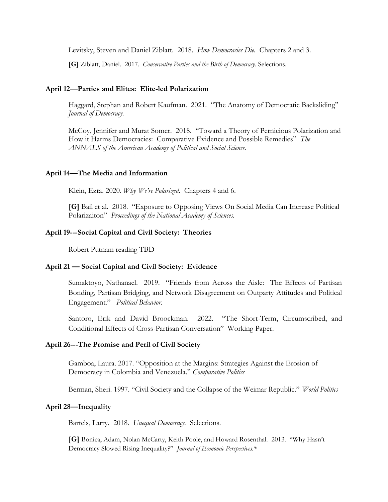Levitsky, Steven and Daniel Ziblatt. 2018. *How Democracies Die.* Chapters 2 and 3.

**[G]** Ziblatt, Daniel. 2017. *Conservative Parties and the Birth of Democracy.* Selections.

### **April 12—Parties and Elites: Elite-led Polarization**

Haggard, Stephan and Robert Kaufman. 2021. "The Anatomy of Democratic Backsliding" *Journal of Democracy.*

McCoy, Jennifer and Murat Somer. 2018. "Toward a Theory of Pernicious Polarization and How it Harms Democracies: Comparative Evidence and Possible Remedies" *The ANNALS of the American Academy of Political and Social Science.*

### **April 14—The Media and Information**

Klein, Ezra. 2020. *Why We're Polarized*. Chapters 4 and 6.

**[G]** Bail et al. 2018. "Exposure to Opposing Views On Social Media Can Increase Political Polarizaiton" *Proceedings of the National Academy of Sciences.*

### **April 19---Social Capital and Civil Society: Theories**

Robert Putnam reading TBD

### **April 21 — Social Capital and Civil Society: Evidence**

Sumaktoyo, Nathanael. 2019. "Friends from Across the Aisle: The Effects of Partisan Bonding, Partisan Bridging, and Network Disagreement on Outparty Attitudes and Political Engagement." *Political Behavior.*

Santoro, Erik and David Broockman. 2022. "The Short-Term, Circumscribed, and Conditional Effects of Cross-Partisan Conversation" Working Paper.

### **April 26---The Promise and Peril of Civil Society**

Gamboa, Laura. 2017. "Opposition at the Margins: Strategies Against the Erosion of Democracy in Colombia and Venezuela." *Comparative Politics* 

Berman, Sheri. 1997. "Civil Society and the Collapse of the Weimar Republic." *World Politics* 

### **April 28—Inequality**

Bartels, Larry. 2018. *Unequal Democracy.* Selections.

**[G]** Bonica, Adam, Nolan McCarty, Keith Poole, and Howard Rosenthal. 2013. "Why Hasn't Democracy Slowed Rising Inequality?" *Journal of Economic Perspectives.\**